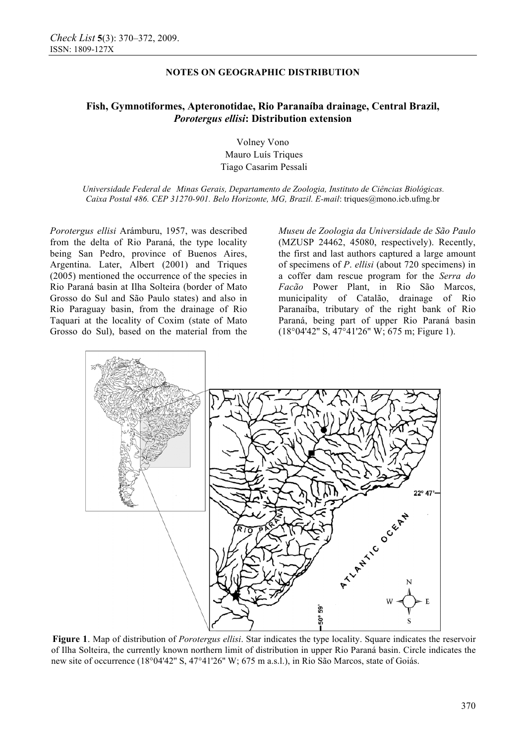## **NOTES ON GEOGRAPHIC DISTRIBUTION**

# **Fish, Gymnotiformes, Apteronotidae, Rio Paranaíba drainage, Central Brazil,**  *Porotergus ellisi***: Distribution extension**

Volney Vono Mauro Luís Triques Tiago Casarim Pessali

*Universidade Federal de Minas Gerais, Departamento de Zoologia, Instituto de Ciências Biológicas. Caixa Postal 486. CEP 31270-901. Belo Horizonte, MG, Brazil. E-mail*: triques@mono.icb.ufmg.br

*Porotergus ellisi* Arámburu, 1957, was described from the delta of Rio Paraná, the type locality being San Pedro, province of Buenos Aires, Argentina. Later, Albert (2001) and Triques (2005) mentioned the occurrence of the species in Rio Paraná basin at Ilha Solteira (border of Mato Grosso do Sul and São Paulo states) and also in Rio Paraguay basin, from the drainage of Rio Taquari at the locality of Coxim (state of Mato Grosso do Sul), based on the material from the *Museu de Zoologia da Universidade de São Paulo* (MZUSP 24462, 45080, respectively). Recently, the first and last authors captured a large amount of specimens of *P*. *ellisi* (about 720 specimens) in a coffer dam rescue program for the *Serra do Facão* Power Plant, in Rio São Marcos, municipality of Catalão, drainage of Rio Paranaíba, tributary of the right bank of Rio Paraná, being part of upper Rio Paraná basin (18°04'42'' S, 47°41'26'' W; 675 m; Figure 1).



**Figure 1**. Map of distribution of *Porotergus ellisi*. Star indicates the type locality. Square indicates the reservoir of Ilha Solteira, the currently known northern limit of distribution in upper Rio Paraná basin. Circle indicates the new site of occurrence (18°04'42'' S, 47°41'26'' W; 675 m a.s.l.), in Rio São Marcos, state of Goiás.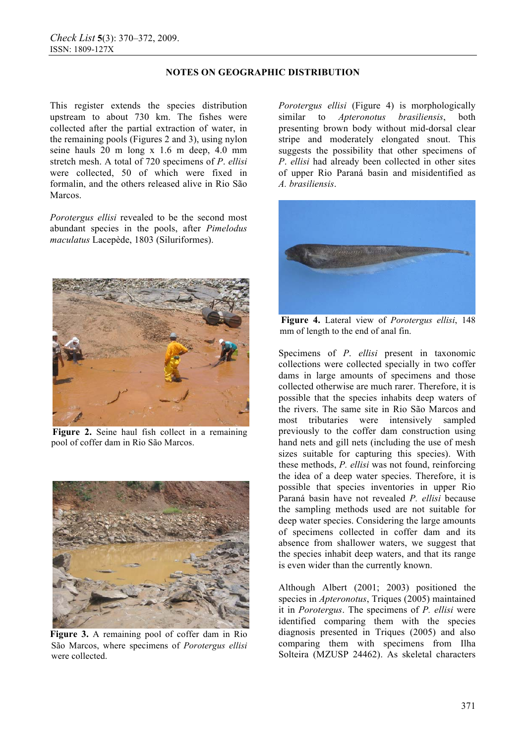# **NOTES ON GEOGRAPHIC DISTRIBUTION**

This register extends the species distribution upstream to about 730 km. The fishes were collected after the partial extraction of water, in the remaining pools (Figures 2 and 3), using nylon seine hauls 20 m long x 1.6 m deep, 4.0 mm stretch mesh. A total of 720 specimens of *P*. *ellisi* were collected, 50 of which were fixed in formalin, and the others released alive in Rio São Marcos.

*Porotergus ellisi* revealed to be the second most abundant species in the pools, after *Pimelodus maculatus* Lacepède, 1803 (Siluriformes).



**Figure 2.** Seine haul fish collect in a remaining pool of coffer dam in Rio São Marcos.



**Figure 3.** A remaining pool of coffer dam in Rio São Marcos, where specimens of *Porotergus ellisi* were collected.

*Porotergus ellisi* (Figure 4) is morphologically similar to *Apteronotus brasiliensis*, both presenting brown body without mid-dorsal clear stripe and moderately elongated snout. This suggests the possibility that other specimens of *P*. *ellisi* had already been collected in other sites of upper Rio Paraná basin and misidentified as *A. brasiliensis*.



**Figure 4.** Lateral view of *Porotergus ellisi*, 148 mm of length to the end of anal fin.

Specimens of *P*. *ellisi* present in taxonomic collections were collected specially in two coffer dams in large amounts of specimens and those collected otherwise are much rarer. Therefore, it is possible that the species inhabits deep waters of the rivers. The same site in Rio São Marcos and most tributaries were intensively sampled previously to the coffer dam construction using hand nets and gill nets (including the use of mesh sizes suitable for capturing this species). With these methods, *P. ellisi* was not found, reinforcing the idea of a deep water species. Therefore, it is possible that species inventories in upper Rio Paraná basin have not revealed *P. ellisi* because the sampling methods used are not suitable for deep water species. Considering the large amounts of specimens collected in coffer dam and its absence from shallower waters, we suggest that the species inhabit deep waters, and that its range is even wider than the currently known.

Although Albert (2001; 2003) positioned the species in *Apteronotus*, Triques (2005) maintained it in *Porotergus*. The specimens of *P. ellisi* were identified comparing them with the species diagnosis presented in Triques (2005) and also comparing them with specimens from Ilha Solteira (MZUSP 24462). As skeletal characters